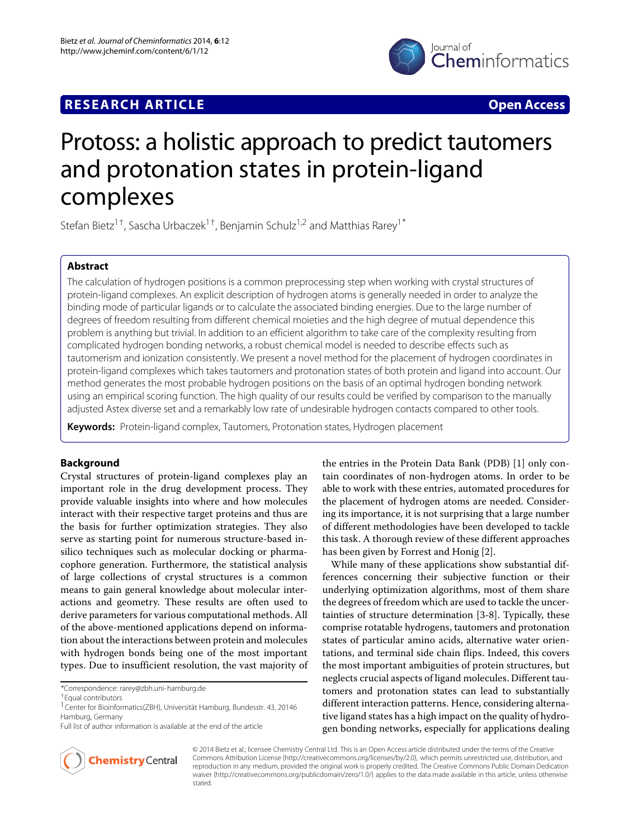## **RESEARCH ARTICLE** *RESEARCH ARTICLE*



# Protoss: a holistic approach to predict tautomers and protonation states in protein-ligand complexes

Stefan Bietz<sup>1†</sup>, Sascha Urbaczek<sup>1†</sup>, Benjamin Schulz<sup>1,2</sup> and Matthias Rarey<sup>1\*</sup>

## **Abstract**

The calculation of hydrogen positions is a common preprocessing step when working with crystal structures of protein-ligand complexes. An explicit description of hydrogen atoms is generally needed in order to analyze the binding mode of particular ligands or to calculate the associated binding energies. Due to the large number of degrees of freedom resulting from different chemical moieties and the high degree of mutual dependence this problem is anything but trivial. In addition to an efficient algorithm to take care of the complexity resulting from complicated hydrogen bonding networks, a robust chemical model is needed to describe effects such as tautomerism and ionization consistently. We present a novel method for the placement of hydrogen coordinates in protein-ligand complexes which takes tautomers and protonation states of both protein and ligand into account. Our method generates the most probable hydrogen positions on the basis of an optimal hydrogen bonding network using an empirical scoring function. The high quality of our results could be verified by comparison to the manually adjusted Astex diverse set and a remarkably low rate of undesirable hydrogen contacts compared to other tools.

**Keywords:** Protein-ligand complex, Tautomers, Protonation states, Hydrogen placement

## **Background**

Crystal structures of protein-ligand complexes play an important role in the drug development process. They provide valuable insights into where and how molecules interact with their respective target proteins and thus are the basis for further optimization strategies. They also serve as starting point for numerous structure-based insilico techniques such as molecular docking or pharmacophore generation. Furthermore, the statistical analysis of large collections of crystal structures is a common means to gain general knowledge about molecular interactions and geometry. These results are often used to derive parameters for various computational methods. All of the above-mentioned applications depend on information about the interactions between protein and molecules with hydrogen bonds being one of the most important types. Due to insufficient resolution, the vast majority of

\*Correspondence: [rarey@zbh.uni-hamburg.de](mailto: rarey@zbh.uni-hamburg.de)

the entries in the Protein Data Bank (PDB) [\[1\]](#page-10-0) only contain coordinates of non-hydrogen atoms. In order to be able to work with these entries, automated procedures for the placement of hydrogen atoms are needed. Considering its importance, it is not surprising that a large number of different methodologies have been developed to tackle this task. A thorough review of these different approaches has been given by Forrest and Honig [\[2\]](#page-10-1).

While many of these applications show substantial differences concerning their subjective function or their underlying optimization algorithms, most of them share the degrees of freedom which are used to tackle the uncertainties of structure determination [\[3](#page-10-2)[-8\]](#page-10-3). Typically, these comprise rotatable hydrogens, tautomers and protonation states of particular amino acids, alternative water orientations, and terminal side chain flips. Indeed, this covers the most important ambiguities of protein structures, but neglects crucial aspects of ligand molecules. Different tautomers and protonation states can lead to substantially different interaction patterns. Hence, considering alternative ligand states has a high impact on the quality of hydrogen bonding networks, especially for applications dealing



© 2014 Bietz et al.; licensee Chemistry Central Ltd. This is an Open Access article distributed under the terms of the Creative Commons Attribution License [\(http://creativecommons.org/licenses/by/2.0\)](http://creativecommons.org/licenses/by/2.0), which permits unrestricted use, distribution, and reproduction in any medium, provided the original work is properly credited. The Creative Commons Public Domain Dedication waiver [\(http://creativecommons.org/publicdomain/zero/1.0/\)](http://creativecommons.org/publicdomain/zero/1.0/) applies to the data made available in this article, unless otherwise stated.

<sup>†</sup>Equal contributors

<sup>1</sup>Center for Bioinformatics(ZBH), Universität Hamburg, Bundesstr. 43, 20146 Hamburg, Germany

Full list of author information is available at the end of the article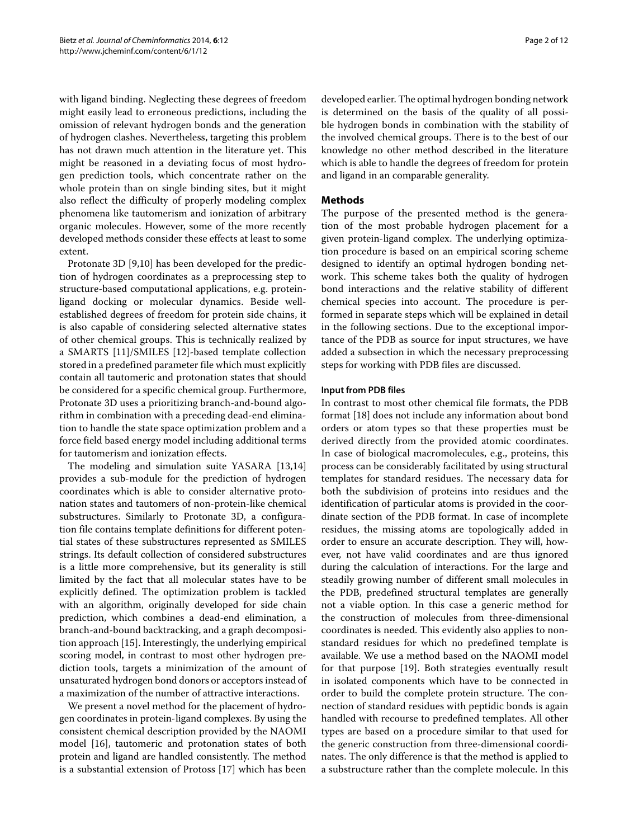with ligand binding. Neglecting these degrees of freedom might easily lead to erroneous predictions, including the omission of relevant hydrogen bonds and the generation of hydrogen clashes. Nevertheless, targeting this problem has not drawn much attention in the literature yet. This might be reasoned in a deviating focus of most hydrogen prediction tools, which concentrate rather on the whole protein than on single binding sites, but it might also reflect the difficulty of properly modeling complex phenomena like tautomerism and ionization of arbitrary organic molecules. However, some of the more recently developed methods consider these effects at least to some extent.

Protonate 3D [\[9,](#page-10-4)[10\]](#page-10-5) has been developed for the prediction of hydrogen coordinates as a preprocessing step to structure-based computational applications, e.g. proteinligand docking or molecular dynamics. Beside wellestablished degrees of freedom for protein side chains, it is also capable of considering selected alternative states of other chemical groups. This is technically realized by a SMARTS [\[11\]](#page-10-6)/SMILES [\[12\]](#page-10-7)-based template collection stored in a predefined parameter file which must explicitly contain all tautomeric and protonation states that should be considered for a specific chemical group. Furthermore, Protonate 3D uses a prioritizing branch-and-bound algorithm in combination with a preceding dead-end elimination to handle the state space optimization problem and a force field based energy model including additional terms for tautomerism and ionization effects.

The modeling and simulation suite YASARA [\[13](#page-10-8)[,14\]](#page-10-9) provides a sub-module for the prediction of hydrogen coordinates which is able to consider alternative protonation states and tautomers of non-protein-like chemical substructures. Similarly to Protonate 3D, a configuration file contains template definitions for different potential states of these substructures represented as SMILES strings. Its default collection of considered substructures is a little more comprehensive, but its generality is still limited by the fact that all molecular states have to be explicitly defined. The optimization problem is tackled with an algorithm, originally developed for side chain prediction, which combines a dead-end elimination, a branch-and-bound backtracking, and a graph decomposition approach [\[15\]](#page-10-10). Interestingly, the underlying empirical scoring model, in contrast to most other hydrogen prediction tools, targets a minimization of the amount of unsaturated hydrogen bond donors or acceptors instead of a maximization of the number of attractive interactions.

We present a novel method for the placement of hydrogen coordinates in protein-ligand complexes. By using the consistent chemical description provided by the NAOMI model [\[16\]](#page-10-11), tautomeric and protonation states of both protein and ligand are handled consistently. The method is a substantial extension of Protoss [\[17\]](#page-10-12) which has been

developed earlier. The optimal hydrogen bonding network is determined on the basis of the quality of all possible hydrogen bonds in combination with the stability of the involved chemical groups. There is to the best of our knowledge no other method described in the literature which is able to handle the degrees of freedom for protein and ligand in an comparable generality.

## **Methods**

The purpose of the presented method is the generation of the most probable hydrogen placement for a given protein-ligand complex. The underlying optimization procedure is based on an empirical scoring scheme designed to identify an optimal hydrogen bonding network. This scheme takes both the quality of hydrogen bond interactions and the relative stability of different chemical species into account. The procedure is performed in separate steps which will be explained in detail in the following sections. Due to the exceptional importance of the PDB as source for input structures, we have added a subsection in which the necessary preprocessing steps for working with PDB files are discussed.

## **Input from PDB files**

In contrast to most other chemical file formats, the PDB format [\[18\]](#page-10-13) does not include any information about bond orders or atom types so that these properties must be derived directly from the provided atomic coordinates. In case of biological macromolecules, e.g., proteins, this process can be considerably facilitated by using structural templates for standard residues. The necessary data for both the subdivision of proteins into residues and the identification of particular atoms is provided in the coordinate section of the PDB format. In case of incomplete residues, the missing atoms are topologically added in order to ensure an accurate description. They will, however, not have valid coordinates and are thus ignored during the calculation of interactions. For the large and steadily growing number of different small molecules in the PDB, predefined structural templates are generally not a viable option. In this case a generic method for the construction of molecules from three-dimensional coordinates is needed. This evidently also applies to nonstandard residues for which no predefined template is available. We use a method based on the NAOMI model for that purpose [\[19\]](#page-10-14). Both strategies eventually result in isolated components which have to be connected in order to build the complete protein structure. The connection of standard residues with peptidic bonds is again handled with recourse to predefined templates. All other types are based on a procedure similar to that used for the generic construction from three-dimensional coordinates. The only difference is that the method is applied to a substructure rather than the complete molecule. In this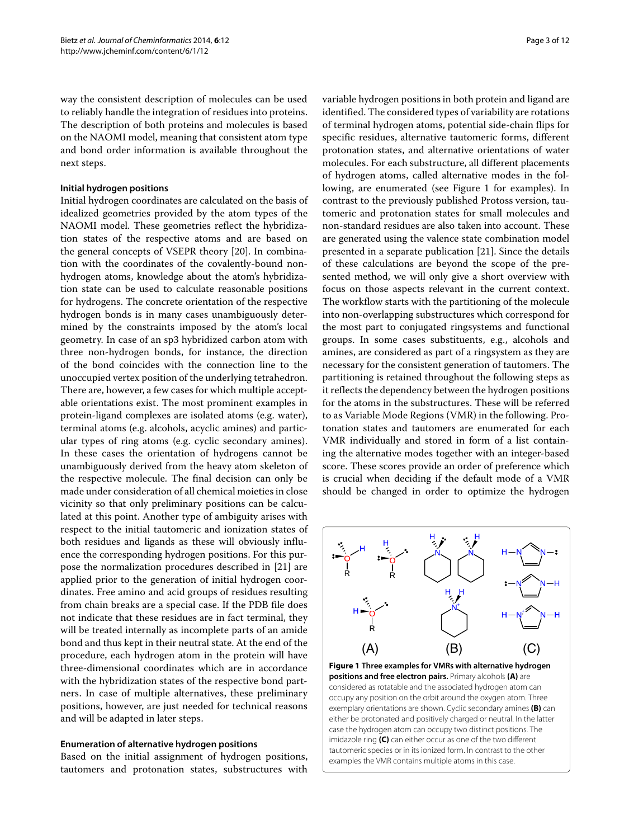way the consistent description of molecules can be used to reliably handle the integration of residues into proteins. The description of both proteins and molecules is based on the NAOMI model, meaning that consistent atom type and bond order information is available throughout the next steps.

#### **Initial hydrogen positions**

Initial hydrogen coordinates are calculated on the basis of idealized geometries provided by the atom types of the NAOMI model. These geometries reflect the hybridization states of the respective atoms and are based on the general concepts of VSEPR theory [\[20\]](#page-10-15). In combination with the coordinates of the covalently-bound nonhydrogen atoms, knowledge about the atom's hybridization state can be used to calculate reasonable positions for hydrogens. The concrete orientation of the respective hydrogen bonds is in many cases unambiguously determined by the constraints imposed by the atom's local geometry. In case of an sp3 hybridized carbon atom with three non-hydrogen bonds, for instance, the direction of the bond coincides with the connection line to the unoccupied vertex position of the underlying tetrahedron. There are, however, a few cases for which multiple acceptable orientations exist. The most prominent examples in protein-ligand complexes are isolated atoms (e.g. water), terminal atoms (e.g. alcohols, acyclic amines) and particular types of ring atoms (e.g. cyclic secondary amines). In these cases the orientation of hydrogens cannot be unambiguously derived from the heavy atom skeleton of the respective molecule. The final decision can only be made under consideration of all chemical moieties in close vicinity so that only preliminary positions can be calculated at this point. Another type of ambiguity arises with respect to the initial tautomeric and ionization states of both residues and ligands as these will obviously influence the corresponding hydrogen positions. For this purpose the normalization procedures described in [\[21\]](#page-10-16) are applied prior to the generation of initial hydrogen coordinates. Free amino and acid groups of residues resulting from chain breaks are a special case. If the PDB file does not indicate that these residues are in fact terminal, they will be treated internally as incomplete parts of an amide bond and thus kept in their neutral state. At the end of the procedure, each hydrogen atom in the protein will have three-dimensional coordinates which are in accordance with the hybridization states of the respective bond partners. In case of multiple alternatives, these preliminary positions, however, are just needed for technical reasons and will be adapted in later steps.

## **Enumeration of alternative hydrogen positions**

Based on the initial assignment of hydrogen positions, tautomers and protonation states, substructures with variable hydrogen positions in both protein and ligand are identified. The considered types of variability are rotations of terminal hydrogen atoms, potential side-chain flips for specific residues, alternative tautomeric forms, different protonation states, and alternative orientations of water molecules. For each substructure, all different placements of hydrogen atoms, called alternative modes in the following, are enumerated (see Figure [1](#page-2-0) for examples). In contrast to the previously published Protoss version, tautomeric and protonation states for small molecules and non-standard residues are also taken into account. These are generated using the valence state combination model presented in a separate publication [\[21\]](#page-10-16). Since the details of these calculations are beyond the scope of the presented method, we will only give a short overview with focus on those aspects relevant in the current context. The workflow starts with the partitioning of the molecule into non-overlapping substructures which correspond for the most part to conjugated ringsystems and functional groups. In some cases substituents, e.g., alcohols and amines, are considered as part of a ringsystem as they are necessary for the consistent generation of tautomers. The partitioning is retained throughout the following steps as it reflects the dependency between the hydrogen positions for the atoms in the substructures. These will be referred to as Variable Mode Regions (VMR) in the following. Protonation states and tautomers are enumerated for each VMR individually and stored in form of a list containing the alternative modes together with an integer-based score. These scores provide an order of preference which is crucial when deciding if the default mode of a VMR should be changed in order to optimize the hydrogen



<span id="page-2-0"></span>either be protonated and positively charged or neutral. In the latter case the hydrogen atom can occupy two distinct positions. The imidazole ring **(C)** can either occur as one of the two different tautomeric species or in its ionized form. In contrast to the other examples the VMR contains multiple atoms in this case.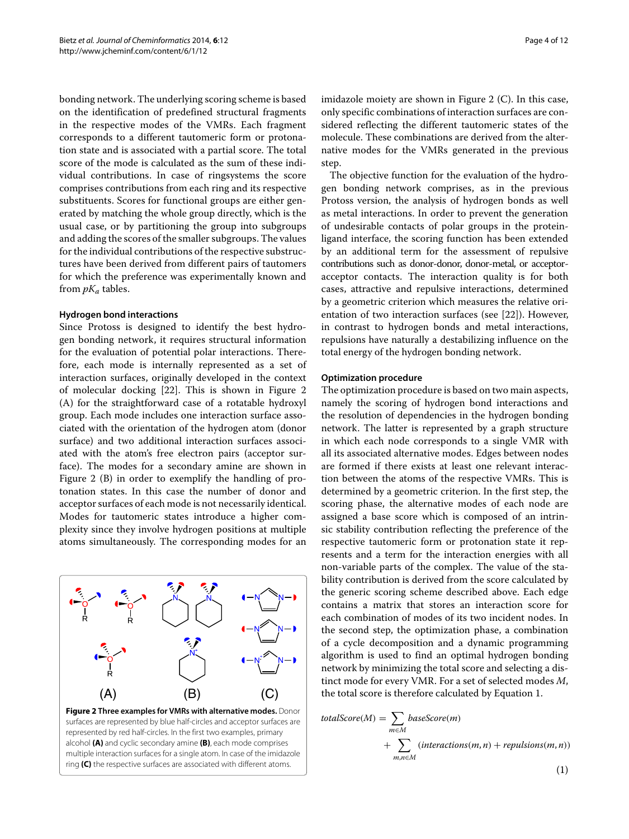bonding network. The underlying scoring scheme is based on the identification of predefined structural fragments in the respective modes of the VMRs. Each fragment corresponds to a different tautomeric form or protonation state and is associated with a partial score. The total score of the mode is calculated as the sum of these individual contributions. In case of ringsystems the score comprises contributions from each ring and its respective substituents. Scores for functional groups are either generated by matching the whole group directly, which is the usual case, or by partitioning the group into subgroups and adding the scores of the smaller subgroups. The values for the individual contributions of the respective substructures have been derived from different pairs of tautomers for which the preference was experimentally known and from  $pK_a$  tables.

#### **Hydrogen bond interactions**

Since Protoss is designed to identify the best hydrogen bonding network, it requires structural information for the evaluation of potential polar interactions. Therefore, each mode is internally represented as a set of interaction surfaces, originally developed in the context of molecular docking [\[22\]](#page-10-17). This is shown in Figure [2](#page-3-0) (A) for the straightforward case of a rotatable hydroxyl group. Each mode includes one interaction surface associated with the orientation of the hydrogen atom (donor surface) and two additional interaction surfaces associated with the atom's free electron pairs (acceptor surface). The modes for a secondary amine are shown in Figure [2](#page-3-0) (B) in order to exemplify the handling of protonation states. In this case the number of donor and acceptor surfaces of each mode is not necessarily identical. Modes for tautomeric states introduce a higher complexity since they involve hydrogen positions at multiple atoms simultaneously. The corresponding modes for an

<span id="page-3-0"></span>

imidazole moiety are shown in Figure [2](#page-3-0) (C). In this case, only specific combinations of interaction surfaces are considered reflecting the different tautomeric states of the molecule. These combinations are derived from the alternative modes for the VMRs generated in the previous step.

The objective function for the evaluation of the hydrogen bonding network comprises, as in the previous Protoss version, the analysis of hydrogen bonds as well as metal interactions. In order to prevent the generation of undesirable contacts of polar groups in the proteinligand interface, the scoring function has been extended by an additional term for the assessment of repulsive contributions such as donor-donor, donor-metal, or acceptoracceptor contacts. The interaction quality is for both cases, attractive and repulsive interactions, determined by a geometric criterion which measures the relative orientation of two interaction surfaces (see [\[22\]](#page-10-17)). However, in contrast to hydrogen bonds and metal interactions, repulsions have naturally a destabilizing influence on the total energy of the hydrogen bonding network.

#### **Optimization procedure**

The optimization procedure is based on two main aspects, namely the scoring of hydrogen bond interactions and the resolution of dependencies in the hydrogen bonding network. The latter is represented by a graph structure in which each node corresponds to a single VMR with all its associated alternative modes. Edges between nodes are formed if there exists at least one relevant interaction between the atoms of the respective VMRs. This is determined by a geometric criterion. In the first step, the scoring phase, the alternative modes of each node are assigned a base score which is composed of an intrinsic stability contribution reflecting the preference of the respective tautomeric form or protonation state it represents and a term for the interaction energies with all non-variable parts of the complex. The value of the stability contribution is derived from the score calculated by the generic scoring scheme described above. Each edge contains a matrix that stores an interaction score for each combination of modes of its two incident nodes. In the second step, the optimization phase, a combination of a cycle decomposition and a dynamic programming algorithm is used to find an optimal hydrogen bonding network by minimizing the total score and selecting a distinct mode for every VMR. For a set of selected modes *M*, the total score is therefore calculated by Equation [1.](#page-3-1)

<span id="page-3-1"></span>
$$
totalScore(M) = \sum_{m \in M} baseScore(m) + \sum_{m,n \in M} (interactions(m,n) + repulsions(m,n))
$$
\n(1)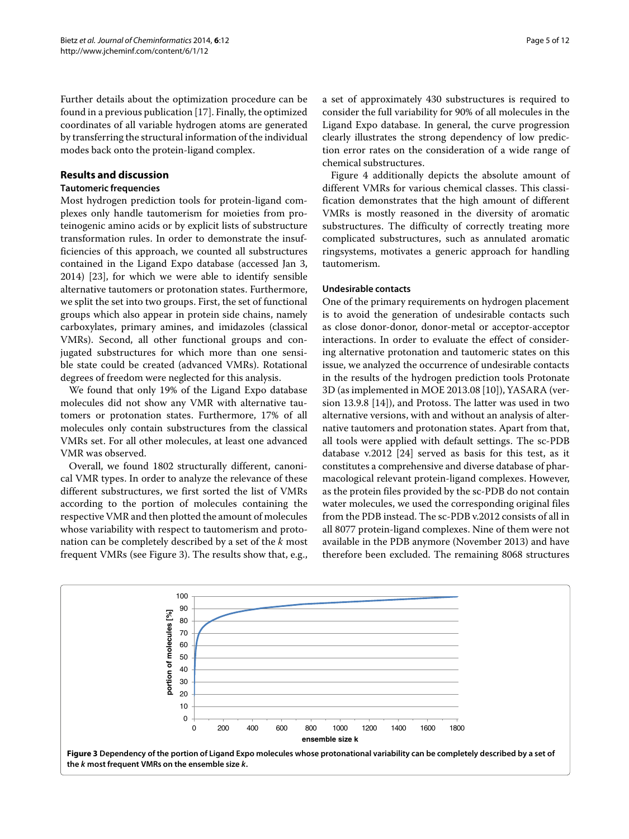Further details about the optimization procedure can be found in a previous publication [\[17\]](#page-10-12). Finally, the optimized coordinates of all variable hydrogen atoms are generated by transferring the structural information of the individual modes back onto the protein-ligand complex.

### **Results and discussion**

## **Tautomeric frequencies**

Most hydrogen prediction tools for protein-ligand complexes only handle tautomerism for moieties from proteinogenic amino acids or by explicit lists of substructure transformation rules. In order to demonstrate the insufficiencies of this approach, we counted all substructures contained in the Ligand Expo database (accessed Jan 3, 2014) [\[23\]](#page-10-18), for which we were able to identify sensible alternative tautomers or protonation states. Furthermore, we split the set into two groups. First, the set of functional groups which also appear in protein side chains, namely carboxylates, primary amines, and imidazoles (classical VMRs). Second, all other functional groups and conjugated substructures for which more than one sensible state could be created (advanced VMRs). Rotational degrees of freedom were neglected for this analysis.

We found that only 19% of the Ligand Expo database molecules did not show any VMR with alternative tautomers or protonation states. Furthermore, 17% of all molecules only contain substructures from the classical VMRs set. For all other molecules, at least one advanced VMR was observed.

Overall, we found 1802 structurally different, canonical VMR types. In order to analyze the relevance of these different substructures, we first sorted the list of VMRs according to the portion of molecules containing the respective VMR and then plotted the amount of molecules whose variability with respect to tautomerism and protonation can be completely described by a set of the *k* most frequent VMRs (see Figure [3\)](#page-4-0). The results show that, e.g.,

a set of approximately 430 substructures is required to consider the full variability for 90% of all molecules in the Ligand Expo database. In general, the curve progression clearly illustrates the strong dependency of low prediction error rates on the consideration of a wide range of chemical substructures.

Figure [4](#page-5-0) additionally depicts the absolute amount of different VMRs for various chemical classes. This classification demonstrates that the high amount of different VMRs is mostly reasoned in the diversity of aromatic substructures. The difficulty of correctly treating more complicated substructures, such as annulated aromatic ringsystems, motivates a generic approach for handling tautomerism.

#### **Undesirable contacts**

One of the primary requirements on hydrogen placement is to avoid the generation of undesirable contacts such as close donor-donor, donor-metal or acceptor-acceptor interactions. In order to evaluate the effect of considering alternative protonation and tautomeric states on this issue, we analyzed the occurrence of undesirable contacts in the results of the hydrogen prediction tools Protonate 3D (as implemented in MOE 2013.08 [\[10\]](#page-10-5)), YASARA (version 13.9.8 [\[14\]](#page-10-9)), and Protoss. The latter was used in two alternative versions, with and without an analysis of alternative tautomers and protonation states. Apart from that, all tools were applied with default settings. The sc-PDB database v.2012 [\[24\]](#page-10-19) served as basis for this test, as it constitutes a comprehensive and diverse database of pharmacological relevant protein-ligand complexes. However, as the protein files provided by the sc-PDB do not contain water molecules, we used the corresponding original files from the PDB instead. The sc-PDB v.2012 consists of all in all 8077 protein-ligand complexes. Nine of them were not available in the PDB anymore (November 2013) and have therefore been excluded. The remaining 8068 structures

<span id="page-4-0"></span>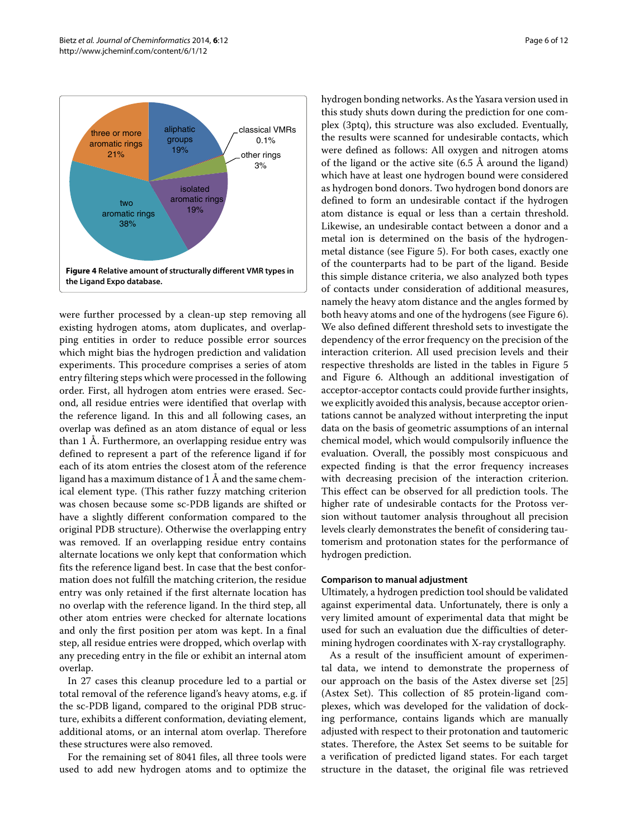

<span id="page-5-0"></span>were further processed by a clean-up step removing all existing hydrogen atoms, atom duplicates, and overlapping entities in order to reduce possible error sources which might bias the hydrogen prediction and validation experiments. This procedure comprises a series of atom entry filtering steps which were processed in the following order. First, all hydrogen atom entries were erased. Second, all residue entries were identified that overlap with the reference ligand. In this and all following cases, an overlap was defined as an atom distance of equal or less than 1 Å. Furthermore, an overlapping residue entry was defined to represent a part of the reference ligand if for each of its atom entries the closest atom of the reference ligand has a maximum distance of 1 Å and the same chemical element type. (This rather fuzzy matching criterion was chosen because some sc-PDB ligands are shifted or have a slightly different conformation compared to the original PDB structure). Otherwise the overlapping entry was removed. If an overlapping residue entry contains alternate locations we only kept that conformation which fits the reference ligand best. In case that the best conformation does not fulfill the matching criterion, the residue entry was only retained if the first alternate location has no overlap with the reference ligand. In the third step, all other atom entries were checked for alternate locations and only the first position per atom was kept. In a final step, all residue entries were dropped, which overlap with any preceding entry in the file or exhibit an internal atom overlap.

In 27 cases this cleanup procedure led to a partial or total removal of the reference ligand's heavy atoms, e.g. if the sc-PDB ligand, compared to the original PDB structure, exhibits a different conformation, deviating element, additional atoms, or an internal atom overlap. Therefore these structures were also removed.

For the remaining set of 8041 files, all three tools were used to add new hydrogen atoms and to optimize the

hydrogen bonding networks. As the Yasara version used in this study shuts down during the prediction for one complex (3ptq), this structure was also excluded. Eventually, the results were scanned for undesirable contacts, which were defined as follows: All oxygen and nitrogen atoms of the ligand or the active site  $(6.5 \text{ Å}$  around the ligand) which have at least one hydrogen bound were considered as hydrogen bond donors. Two hydrogen bond donors are defined to form an undesirable contact if the hydrogen atom distance is equal or less than a certain threshold. Likewise, an undesirable contact between a donor and a metal ion is determined on the basis of the hydrogenmetal distance (see Figure [5\)](#page-6-0). For both cases, exactly one of the counterparts had to be part of the ligand. Beside this simple distance criteria, we also analyzed both types of contacts under consideration of additional measures, namely the heavy atom distance and the angles formed by both heavy atoms and one of the hydrogens (see Figure [6\)](#page-7-0). We also defined different threshold sets to investigate the dependency of the error frequency on the precision of the interaction criterion. All used precision levels and their respective thresholds are listed in the tables in Figure [5](#page-6-0) and Figure [6.](#page-7-0) Although an additional investigation of acceptor-acceptor contacts could provide further insights, we explicitly avoided this analysis, because acceptor orientations cannot be analyzed without interpreting the input data on the basis of geometric assumptions of an internal chemical model, which would compulsorily influence the evaluation. Overall, the possibly most conspicuous and expected finding is that the error frequency increases with decreasing precision of the interaction criterion. This effect can be observed for all prediction tools. The higher rate of undesirable contacts for the Protoss version without tautomer analysis throughout all precision levels clearly demonstrates the benefit of considering tautomerism and protonation states for the performance of hydrogen prediction.

#### **Comparison to manual adjustment**

Ultimately, a hydrogen prediction tool should be validated against experimental data. Unfortunately, there is only a very limited amount of experimental data that might be used for such an evaluation due the difficulties of determining hydrogen coordinates with X-ray crystallography.

As a result of the insufficient amount of experimental data, we intend to demonstrate the properness of our approach on the basis of the Astex diverse set [\[25\]](#page-11-0) (Astex Set). This collection of 85 protein-ligand complexes, which was developed for the validation of docking performance, contains ligands which are manually adjusted with respect to their protonation and tautomeric states. Therefore, the Astex Set seems to be suitable for a verification of predicted ligand states. For each target structure in the dataset, the original file was retrieved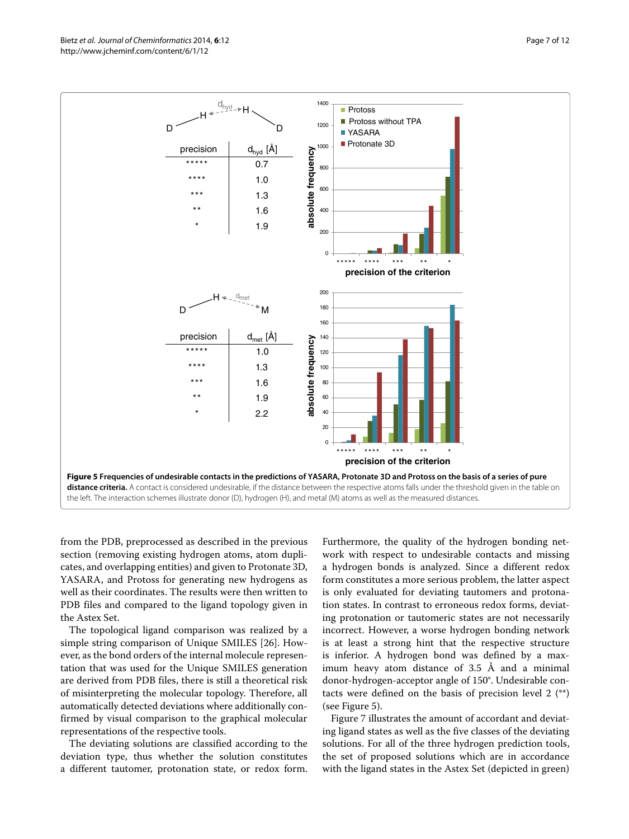

<span id="page-6-0"></span>from the PDB, preprocessed as described in the previous section (removing existing hydrogen atoms, atom duplicates, and overlapping entities) and given to Protonate 3D, YASARA, and Protoss for generating new hydrogens as well as their coordinates. The results were then written to PDB files and compared to the ligand topology given in the Astex Set.

The topological ligand comparison was realized by a simple string comparison of Unique SMILES [\[26\]](#page-11-1). However, as the bond orders of the internal molecule representation that was used for the Unique SMILES generation are derived from PDB files, there is still a theoretical risk of misinterpreting the molecular topology. Therefore, all automatically detected deviations where additionally confirmed by visual comparison to the graphical molecular representations of the respective tools.

The deviating solutions are classified according to the deviation type, thus whether the solution constitutes a different tautomer, protonation state, or redox form. Furthermore, the quality of the hydrogen bonding network with respect to undesirable contacts and missing a hydrogen bonds is analyzed. Since a different redox form constitutes a more serious problem, the latter aspect is only evaluated for deviating tautomers and protonation states. In contrast to erroneous redox forms, deviating protonation or tautomeric states are not necessarily incorrect. However, a worse hydrogen bonding network is at least a strong hint that the respective structure is inferior. A hydrogen bond was defined by a maximum heavy atom distance of 3.5 Å and a minimal donor-hydrogen-acceptor angle of 150°. Undesirable contacts were defined on the basis of precision level 2 (\*\*) (see Figure [5\)](#page-6-0).

Figure [7](#page-7-1) illustrates the amount of accordant and deviating ligand states as well as the five classes of the deviating solutions. For all of the three hydrogen prediction tools, the set of proposed solutions which are in accordance with the ligand states in the Astex Set (depicted in green)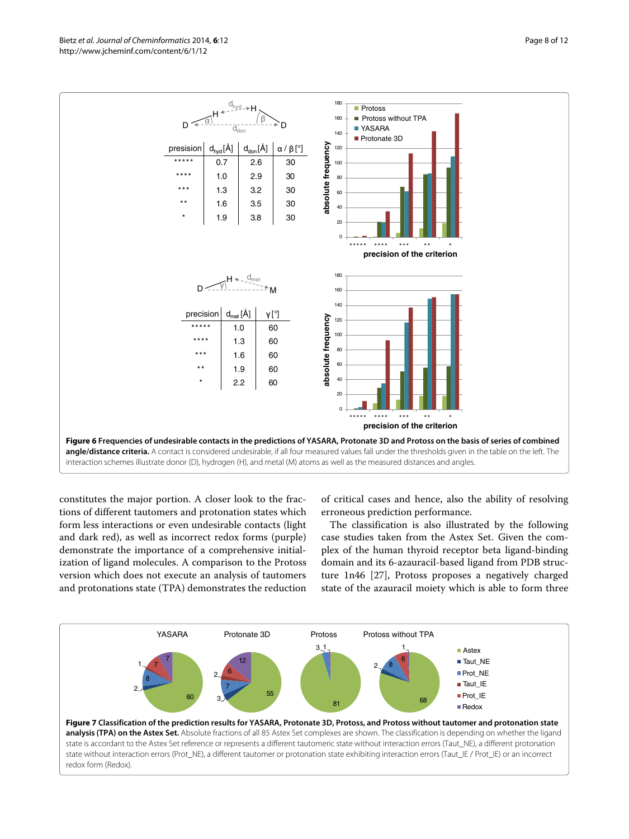

<span id="page-7-0"></span>constitutes the major portion. A closer look to the fractions of different tautomers and protonation states which form less interactions or even undesirable contacts (light and dark red), as well as incorrect redox forms (purple) demonstrate the importance of a comprehensive initialization of ligand molecules. A comparison to the Protoss version which does not execute an analysis of tautomers and protonations state (TPA) demonstrates the reduction of critical cases and hence, also the ability of resolving erroneous prediction performance.

The classification is also illustrated by the following case studies taken from the Astex Set. Given the complex of the human thyroid receptor beta ligand-binding domain and its 6-azauracil-based ligand from PDB structure 1n46 [\[27\]](#page-11-2), Protoss proposes a negatively charged state of the azauracil moiety which is able to form three

<span id="page-7-1"></span>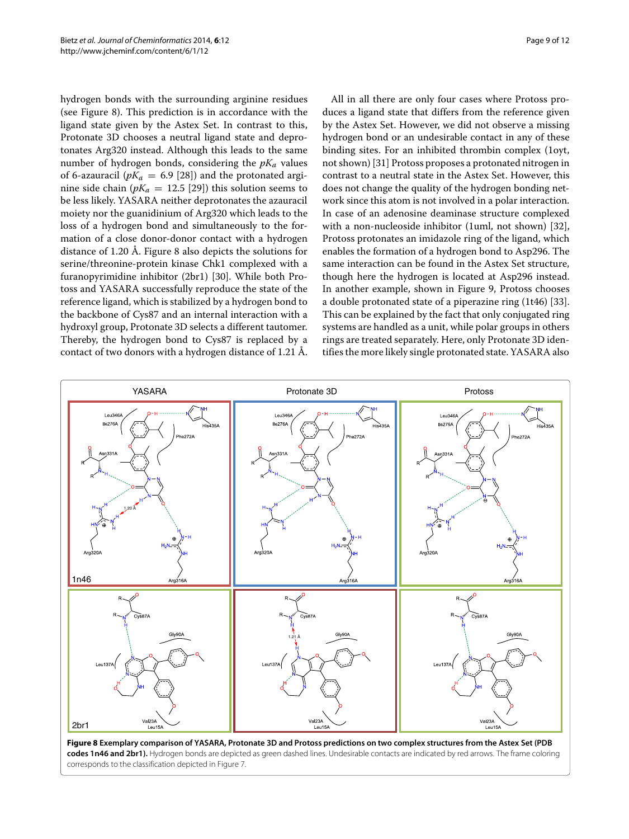hydrogen bonds with the surrounding arginine residues (see Figure [8\)](#page-8-0). This prediction is in accordance with the ligand state given by the Astex Set. In contrast to this, Protonate 3D chooses a neutral ligand state and deprotonates Arg320 instead. Although this leads to the same number of hydrogen bonds, considering the *pKa* values of 6-azauracil ( $pK_a = 6.9$  [\[28\]](#page-11-3)) and the protonated arginine side chain ( $pK_a = 12.5$  [\[29\]](#page-11-4)) this solution seems to be less likely. YASARA neither deprotonates the azauracil moiety nor the guanidinium of Arg320 which leads to the loss of a hydrogen bond and simultaneously to the formation of a close donor-donor contact with a hydrogen distance of 1.20 Å. Figure [8](#page-8-0) also depicts the solutions for serine/threonine-protein kinase Chk1 complexed with a furanopyrimidine inhibitor (2br1) [\[30\]](#page-11-5). While both Protoss and YASARA successfully reproduce the state of the reference ligand, which is stabilized by a hydrogen bond to the backbone of Cys87 and an internal interaction with a hydroxyl group, Protonate 3D selects a different tautomer. Thereby, the hydrogen bond to Cys87 is replaced by a contact of two donors with a hydrogen distance of 1.21 Å.

All in all there are only four cases where Protoss produces a ligand state that differs from the reference given by the Astex Set. However, we did not observe a missing hydrogen bond or an undesirable contact in any of these binding sites. For an inhibited thrombin complex (1oyt, not shown) [\[31\]](#page-11-6) Protoss proposes a protonated nitrogen in contrast to a neutral state in the Astex Set. However, this does not change the quality of the hydrogen bonding network since this atom is not involved in a polar interaction. In case of an adenosine deaminase structure complexed with a non-nucleoside inhibitor (1uml, not shown) [\[32\]](#page-11-7), Protoss protonates an imidazole ring of the ligand, which enables the formation of a hydrogen bond to Asp296. The same interaction can be found in the Astex Set structure, though here the hydrogen is located at Asp296 instead. In another example, shown in Figure [9,](#page-9-0) Protoss chooses a double protonated state of a piperazine ring (1t46) [\[33\]](#page-11-8). This can be explained by the fact that only conjugated ring systems are handled as a unit, while polar groups in others rings are treated separately. Here, only Protonate 3D identifies the more likely single protonated state. YASARA also



<span id="page-8-0"></span>**Figure 8 Exemplary comparison of YASARA, Protonate 3D and Protoss predictions on two complex structures from the Astex Set (PDB codes 1n46 and 2br1).** Hydrogen bonds are depicted as green dashed lines. Undesirable contacts are indicated by red arrows. The frame coloring corresponds to the classification depicted in Figure [7.](#page-7-1)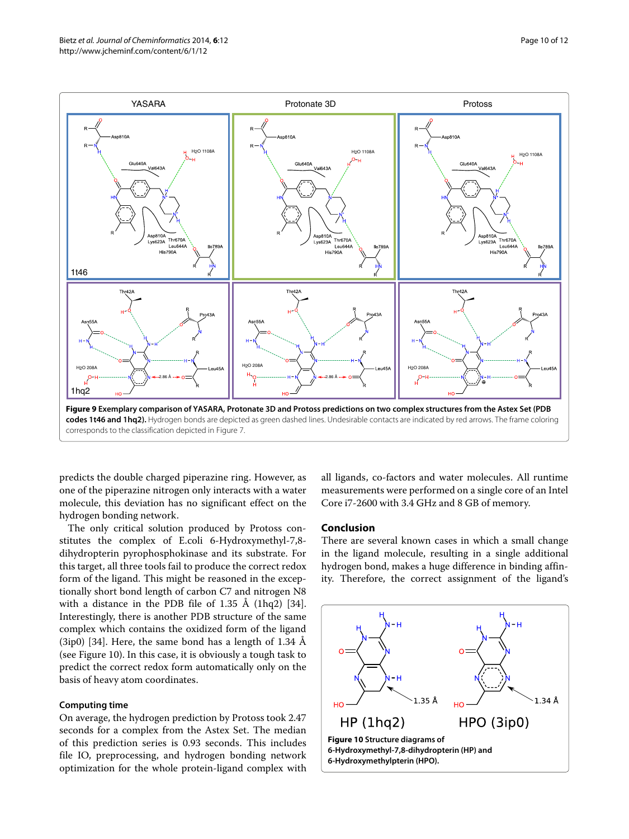

<span id="page-9-0"></span>predicts the double charged piperazine ring. However, as one of the piperazine nitrogen only interacts with a water molecule, this deviation has no significant effect on the hydrogen bonding network.

The only critical solution produced by Protoss constitutes the complex of E.coli 6-Hydroxymethyl-7,8 dihydropterin pyrophosphokinase and its substrate. For this target, all three tools fail to produce the correct redox form of the ligand. This might be reasoned in the exceptionally short bond length of carbon C7 and nitrogen N8 with a distance in the PDB file of  $1.35 \text{ Å}$  (1hq2) [\[34\]](#page-11-9). Interestingly, there is another PDB structure of the same complex which contains the oxidized form of the ligand (3ip0) [\[34\]](#page-11-9). Here, the same bond has a length of 1.34  $\AA$ (see Figure [10\)](#page-9-1). In this case, it is obviously a tough task to predict the correct redox form automatically only on the basis of heavy atom coordinates.

## **Computing time**

On average, the hydrogen prediction by Protoss took 2.47 seconds for a complex from the Astex Set. The median of this prediction series is 0.93 seconds. This includes file IO, preprocessing, and hydrogen bonding network optimization for the whole protein-ligand complex with all ligands, co-factors and water molecules. All runtime measurements were performed on a single core of an Intel Core i7-2600 with 3.4 GHz and 8 GB of memory.

#### **Conclusion**

There are several known cases in which a small change in the ligand molecule, resulting in a single additional hydrogen bond, makes a huge difference in binding affinity. Therefore, the correct assignment of the ligand's

<span id="page-9-1"></span>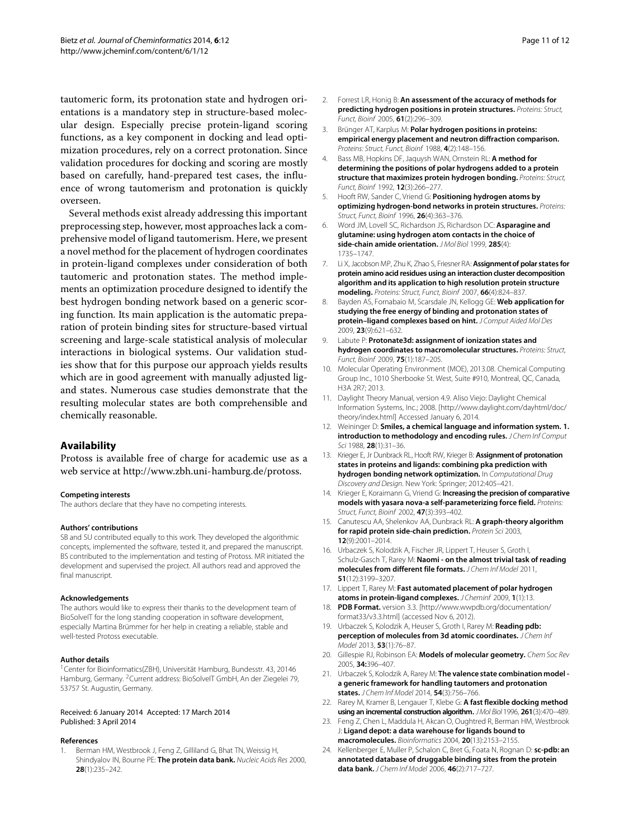tautomeric form, its protonation state and hydrogen orientations is a mandatory step in structure-based molecular design. Especially precise protein-ligand scoring functions, as a key component in docking and lead optimization procedures, rely on a correct protonation. Since validation procedures for docking and scoring are mostly based on carefully, hand-prepared test cases, the influence of wrong tautomerism and protonation is quickly overseen.

Several methods exist already addressing this important preprocessing step, however, most approaches lack a comprehensive model of ligand tautomerism. Here, we present a novel method for the placement of hydrogen coordinates in protein-ligand complexes under consideration of both tautomeric and protonation states. The method implements an optimization procedure designed to identify the best hydrogen bonding network based on a generic scoring function. Its main application is the automatic preparation of protein binding sites for structure-based virtual screening and large-scale statistical analysis of molecular interactions in biological systems. Our validation studies show that for this purpose our approach yields results which are in good agreement with manually adjusted ligand states. Numerous case studies demonstrate that the resulting molecular states are both comprehensible and chemically reasonable.

## **Availability**

Protoss is available free of charge for academic use as a web service at [http://www.zbh.uni-hamburg.de/protoss.](http://www.zbh.uni-hamburg.de/protoss)

#### **Competing interests**

The authors declare that they have no competing interests.

#### **Authors' contributions**

SB and SU contributed equally to this work. They developed the algorithmic concepts, implemented the software, tested it, and prepared the manuscript. BS contributed to the implementation and testing of Protoss. MR initiated the development and supervised the project. All authors read and approved the final manuscript.

#### **Acknowledgements**

The authors would like to express their thanks to the development team of BioSolveIT for the long standing cooperation in software development, especially Martina Brümmer for her help in creating a reliable, stable and well-tested Protoss executable.

#### **Author details**

1Center for Bioinformatics(ZBH), Universität Hamburg, Bundesstr. 43, 20146 Hamburg, Germany. <sup>2</sup>Current address: BioSolveIT GmbH, An der Ziegelei 79, 53757 St. Augustin, Germany.

#### Received: 6 January 2014 Accepted: 17 March 2014 Published: 3 April 2014

#### **References**

<span id="page-10-0"></span>1. Berman HM, Westbrook J, Feng Z, Gilliland G, Bhat TN, Weissig H, Shindyalov IN, Bourne PE: **The protein data bank.** *Nucleic Acids Res* 2000, **28**(1):235–242.

- <span id="page-10-1"></span>2. Forrest LR, Honig B: **An assessment of the accuracy of methods for predicting hydrogen positions in protein structures.** *Proteins: Struct, Funct, Bioinf* 2005, **61**(2):296–309.
- <span id="page-10-2"></span>3. Brünger AT, Karplus M: **Polar hydrogen positions in proteins: empirical energy placement and neutron diffraction comparison.** *Proteins: Struct, Funct, Bioinf* 1988, **4**(2):148–156.
- 4. Bass MB, Hopkins DF, Jaquysh WAN, Ornstein RL: **A method for determining the positions of polar hydrogens added to a protein structure that maximizes protein hydrogen bonding.** *Proteins: Struct, Funct, Bioinf* 1992, **12**(3):266–277.
- 5. Hooft RW, Sander C, Vriend G: **Positioning hydrogen atoms by optimizing hydrogen-bond networks in protein structures.** *Proteins: Struct, Funct, Bioinf* 1996, **26**(4):363–376.
- 6. Word JM, Lovell SC, Richardson JS, Richardson DC: **Asparagine and glutamine: using hydrogen atom contacts in the choice of side-chain amide orientation.** *J Mol Biol* 1999, **285**(4): 1735–1747.
- 7. Li X, Jacobson MP, Zhu K, Zhao S, Friesner RA: **Assignmentof polar states for protein amino acid residues using an interaction cluster decomposition algorithm and its application to high resolution protein structure modeling.** *Proteins: Struct, Funct, Bioinf* 2007, **66**(4):824–837.
- <span id="page-10-3"></span>8. Bayden AS, Fornabaio M, Scarsdale JN, Kellogg GE: **Web application for studying the free energy of binding and protonation states of protein–ligand complexes based on hint.** *J Comput Aided Mol Des* 2009, **23**(9):621–632.
- <span id="page-10-4"></span>9. Labute P: **Protonate3d: assignment of ionization states and hydrogen coordinates to macromolecular structures.** *Proteins: Struct, Funct, Bioinf* 2009, **75**(1):187–205.
- <span id="page-10-5"></span>10. Molecular Operating Environment (MOE), 2013.08. Chemical Computing Group Inc., 1010 Sherbooke St. West, Suite #910, Montreal, QC, Canada, H3A 2R7; 2013.
- <span id="page-10-6"></span>11. Daylight Theory Manual, version 4.9. Aliso Viejo: Daylight Chemical Information Systems, Inc.; 2008. [\[http://www.daylight.com/dayhtml/doc/](http://www.daylight.com/dayhtml/doc/theory/index.html) [theory/index.html\]](http://www.daylight.com/dayhtml/doc/theory/index.html) Accessed January 6, 2014.
- <span id="page-10-7"></span>12. Weininger D: **Smiles, a chemical language and information system. 1. introduction to methodology and encoding rules.** *J Chem Inf Comput Sci* 1988, **28**(1):31–36.
- <span id="page-10-8"></span>13. Krieger E, Jr Dunbrack RL, Hooft RW, Krieger B: **Assignment of protonation states in proteins and ligands: combining pka prediction with hydrogen bonding network optimization.** In *Computational Drug Discovery and Design*. New York: Springer; 2012:405–421.
- <span id="page-10-9"></span>14. Krieger E, Koraimann G, Vriend G: **Increasing the precision of comparative models with yasara nova-a self-parameterizing force field.** *Proteins: Struct, Funct, Bioinf* 2002, **47**(3):393–402.
- <span id="page-10-10"></span>15. Canutescu AA, Shelenkov AA, Dunbrack RL: **A graph-theory algorithm for rapid protein side-chain prediction.** *Protein Sci* 2003, **12**(9):2001–2014.
- <span id="page-10-11"></span>16. Urbaczek S, Kolodzik A, Fischer JR, Lippert T, Heuser S, Groth I, Schulz-Gasch T, Rarey M: **Naomi - on the almost trivial task of reading molecules from different file formats.** *J Chem Inf Model* 2011, **51**(12):3199–3207.
- <span id="page-10-12"></span>17. Lippert T, Rarey M: **Fast automated placement of polar hydrogen atoms in protein-ligand complexes.** *J Cheminf* 2009, **1**(1):13.
- <span id="page-10-13"></span>18. **PDB Format.** version 3.3. [\[http://www.wwpdb.org/documentation/](http://www.wwpdb.org/documentation/format33/v3.3.html) [format33/v3.3.html\]](http://www.wwpdb.org/documentation/format33/v3.3.html) (accessed Nov 6, 2012).
- <span id="page-10-14"></span>19. Urbaczek S, Kolodzik A, Heuser S, Groth I, Rarey M: **Reading pdb: perception of molecules from 3d atomic coordinates.** *J Chem Inf Model* 2013, **53**(1):76–87.
- <span id="page-10-15"></span>20. Gillespie RJ, Robinson EA: **Models of molecular geometry.** *Chem Soc Rev* 2005, **34:**396–407.
- <span id="page-10-16"></span>21. Urbaczek S, Kolodzik A, Rarey M: **The valence state combination model a generic framework for handling tautomers and protonation states.** *J Chem Inf Model* 2014, **54**(3):756–766.
- <span id="page-10-17"></span>22. Rarey M, Kramer B, Lengauer T, Klebe G: **A fast flexible docking method using an incremental construction algorithm.** *JMol Biol* 1996, **261**(3):470--489.
- <span id="page-10-18"></span>23. Feng Z, Chen L, Maddula H, Akcan O, Oughtred R, Berman HM, Westbrook J: **Ligand depot: a data warehouse for ligands bound to macromolecules.** *Bioinformatics* 2004, **20**(13):2153–2155.
- <span id="page-10-19"></span>24. Kellenberger E, Muller P, Schalon C, Bret G, Foata N, Rognan D: **sc-pdb: an annotated database of druggable binding sites from the protein data bank.** *J Chem Inf Model* 2006, **46**(2):717–727.